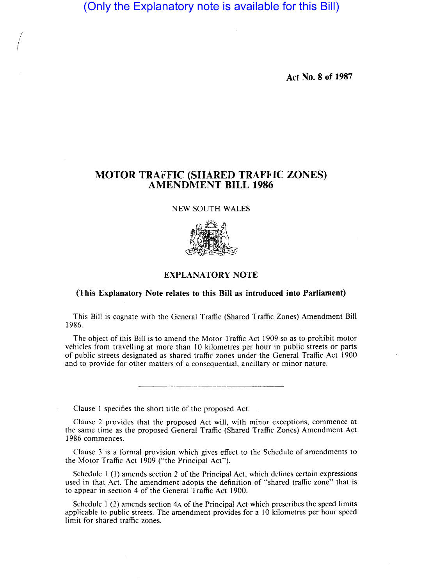(Only the Explanatory note is available for this Bill)

 $\bigg($ 

**Act No. 8 of 1987** 

## **MOTOR TRAFFIC (SHARED TRAFFIC ZONES) AMENDMENT BILL 1986**

NEW SOUTH WALES



## **EXPLANATORY NOTE**

## **(This Explanatory Note relates to this Bill as introduced into Parliament)**

This Bill is cognate with the General Traffic (Shared Traffic Zones) Amendment Bill 1986.

The object of this Bill is to amend the Motor Traffic Act 1909 so as to prohibit motor vehicles from travelling at more than 10 kilometres per hour in public streets or parts of public streets designated as shared traffic zones under the General Traffic Act 1900 and to provide for other matters of a consequential, ancillary or minor nature.

Clause I specifies the short title of the proposed Act.

Clause 2 provides that the proposed Act will, with minor exceptions, commence at the same time as the proposed General Traffic (Shared Traffic Zones) Amendment Act 1986 commences.

Clause 3 is a formal provision which gives effect to the Schedule of amendments to the Motor Traffic Act 1909 ("the Principal Act").

Schedule I (I) amends section 2 of the Principal Act, which defines certain expressions used in that Act. The amendment adopts the definition of "shared traffic zone" that is to appear in section 4 of the General Traffic Act 1900.

Schedule 1 (2) amends section 4A of the Principal Act which prescribes the speed limits applicable to public streets. The amendment provides for a 10 kilometres per hour speed limit for shared traffic zones.